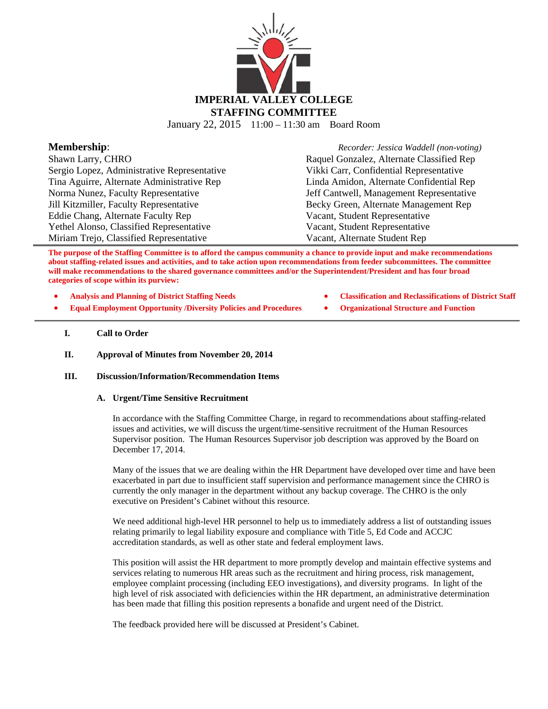

January 22, 2015 11:00 – 11:30 am Board Room

| <b>Membership:</b>                          | Recorder: Jessica Waddell (non-voting)    |
|---------------------------------------------|-------------------------------------------|
| Shawn Larry, CHRO                           | Raquel Gonzalez, Alternate Classified Rep |
| Sergio Lopez, Administrative Representative | Vikki Carr, Confidential Representative   |
| Tina Aguirre, Alternate Administrative Rep  | Linda Amidon, Alternate Confidential Rep  |
| Norma Nunez, Faculty Representative         | Jeff Cantwell, Management Representative  |
| Jill Kitzmiller, Faculty Representative     | Becky Green, Alternate Management Rep     |
| Eddie Chang, Alternate Faculty Rep          | Vacant, Student Representative            |
| Yethel Alonso, Classified Representative    | Vacant, Student Representative            |
| Miriam Trejo, Classified Representative     | Vacant, Alternate Student Rep             |

**The purpose of the Staffing Committee is to afford the campus community a chance to provide input and make recommendations about staffing-related issues and activities, and to take action upon recommendations from feeder subcommittees. The committee will make recommendations to the shared governance committees and/or the Superintendent/President and has four broad categories of scope within its purview:** 

- - **Analysis and Planning of District Staffing Needs Classification and Reclassifications of District Staff**
- **Equal Employment Opportunity /Diversity Policies and Procedures Organizational Structure and Function**

### **I. Call to Order**

**II. Approval of Minutes from November 20, 2014**

### **III. Discussion/Information/Recommendation Items**

#### **A. Urgent/Time Sensitive Recruitment**

In accordance with the Staffing Committee Charge, in regard to recommendations about staffing-related issues and activities, we will discuss the urgent/time-sensitive recruitment of the Human Resources Supervisor position. The Human Resources Supervisor job description was approved by the Board on December 17, 2014.

Many of the issues that we are dealing within the HR Department have developed over time and have been exacerbated in part due to insufficient staff supervision and performance management since the CHRO is currently the only manager in the department without any backup coverage. The CHRO is the only executive on President's Cabinet without this resource.

We need additional high-level HR personnel to help us to immediately address a list of outstanding issues relating primarily to legal liability exposure and compliance with Title 5, Ed Code and ACCJC accreditation standards, as well as other state and federal employment laws.

This position will assist the HR department to more promptly develop and maintain effective systems and services relating to numerous HR areas such as the recruitment and hiring process, risk management, employee complaint processing (including EEO investigations), and diversity programs. In light of the high level of risk associated with deficiencies within the HR department, an administrative determination has been made that filling this position represents a bonafide and urgent need of the District.

The feedback provided here will be discussed at President's Cabinet.